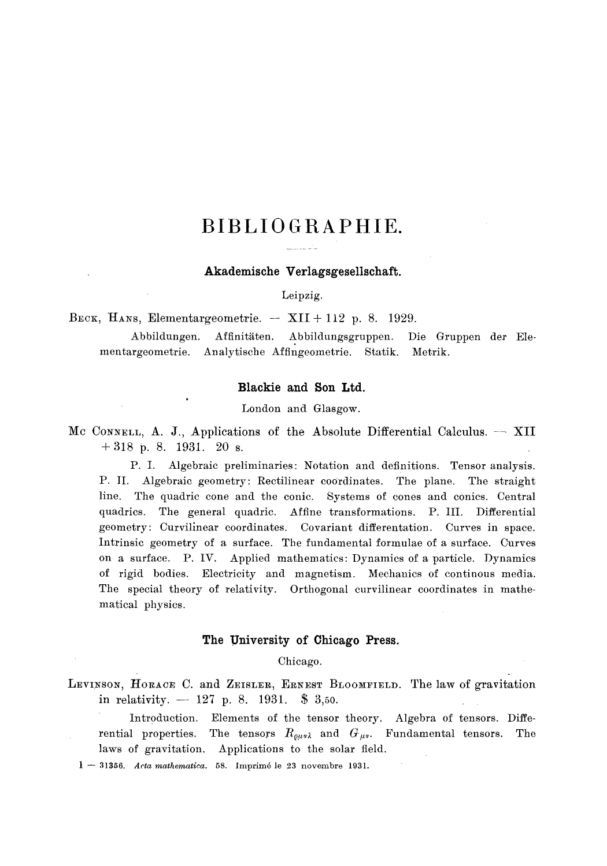# **BIBLIOGRAPHIE.**

#### **Akademische Verlagsgesellschaft.**

Leipzig.

BECK, HANS, Elementargeometrie.  $-$  XII + 112 p. 8. 1929.

Abbildungen. Affinitäten. Abbildungsgruppen. mentargeometrie. Analytische Affingeometrie. Statik. Metrik. Die Gruppen der Ele-

#### **Blackie and Son Ltd.**

London and Glasgow.

Mc CONNELL, A. J., Applications of the Absolute Differential Calculus. -- XII  $+318$  p. 8. 1931. 20 s.

P.I. Algebraic preliminaries: Notation and definitions. Tensor analysis. P. II. Algebraic geometry: Rectilinear coordinates. The plane. The straight line. The quadric cone and the conic. Systems of cones and conics. Central quadrics. The general quadric. Affine transformations. P. III. Differential geometry: Curvillnear coordinates. Covariant differentation. Curves in space. Intrinsic geometry of a surface. The fundamental formulae of a surface. Curves on a surface. P. IV. Applied mathematics: Dynamics of a particle. Dynamics of rigid bodies. Electricity and magnetism. Mechanics of continous media. The special theory of relativity. Orthogonal curvilinear coordinates in mathematical physics.

# **The University of Chicago Press.**

Chicago.

- LEVINSON, HORACE C. and ZEISLER, ERNEST BLOOMFIELD. The law of gravitation in relativity.  $-127$  p. 8. 1931. \$ 3,50.
	- Introduction. Elements of the tensor theory. Algebra of tensors. Differential properties. The tensors  $R_{\varrho\mu\nu\lambda}$  and  $G_{\mu\nu}$ . Fundamental tensors. The laws of gravitation. Applications to the solar field.
	- $1 31356$ . *Acta mathematica.* 58. Imprimé le 23 novembre 1931.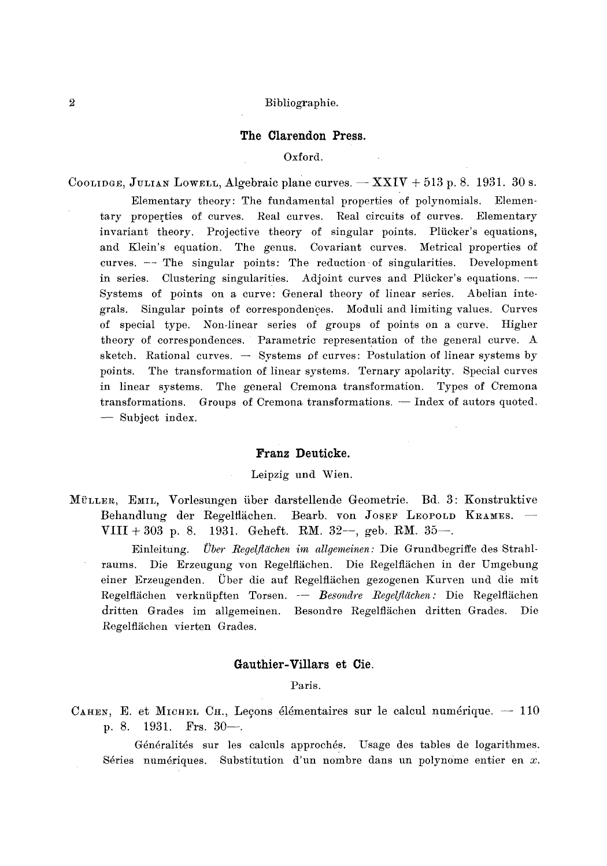## **The Clarendon Press.**

## Oxford.

COOLIDGE, JULIAN LOWELL, Algebraic plane curves.  $-$  XXIV + 513 p. 8. 1931. 30 s.

Elementary theory: The fundamental properties of polynomials. Elementary properties of curves. Real curves. Real circuits of curves. Elementary invariant theory. Projective theory of singular points. Plücker's equations, and Klein's equation. The genus. Covariant curves. Metrical properties of curves.  $-$ -The singular points: The reduction of singularities. Development in series. Clustering singularities. Adjoint curves and Plücker's equations. ---Systems of points on a curve: General theory of linear series. Abelian integrals. Singular points of correspondences. Moduli and limiting values. Curves of special type. Non-linear series of groups of points on a curve. Higher theory of correspondences. Parametric representation of the general curve. A sketch. Rational curves.  $-$  Systems of curves: Postulation of linear systems by points. The transformation of linear systems. Ternary apolarity. Special curves in linear systems. The general Cremona transformation. Types of Cremona transformations. Groups of Cremona transformations. -- Index of autors quoted. **--** Subject index.

# **Franz Deuticke.**

# Leipzig und Wien.

MüLLER, EMIL, Vorlesungen über darstellende Geometrie. Bd. 3: Konstruktive Behandlung der Regelflächen. Bearb. von Josef Leopold Krames. -VIII + 303 p. 8. 1931. Geheft. RM. 32--, geb. RM. 35--.

Einleitung. *t)ber \_Regelfldchen im allgemeinen:* Die Grundbegriffe des Strahlraums. Die Erzeugung von Regelflächen. Die Regelflächen in der Umgebung einer Erzeugenden. Uber die auf Regelfliiehen gezogenen Kurven und die mit Regelflächen verknüpften Torsen. -- Besondre Regelflächen: Die Regelflächen dritten Grades im allgemeinen. Besondre Regelflächen dritten Grades. Die Regelflächen vierten Grades.

# **Gauthier-Villars et Ciel**

Paris.

CAHEN, E. et MICHEL CH., Leçons élémentaires sur le calcul numérique.  $-110$ p. 8. 1931. Frs.  $30-$ .

Généralités sur les calculs approchés. Usage des tables de logarithmes. Séries numériques. Substitution d'un nombre dans un polynome entier en  $x$ .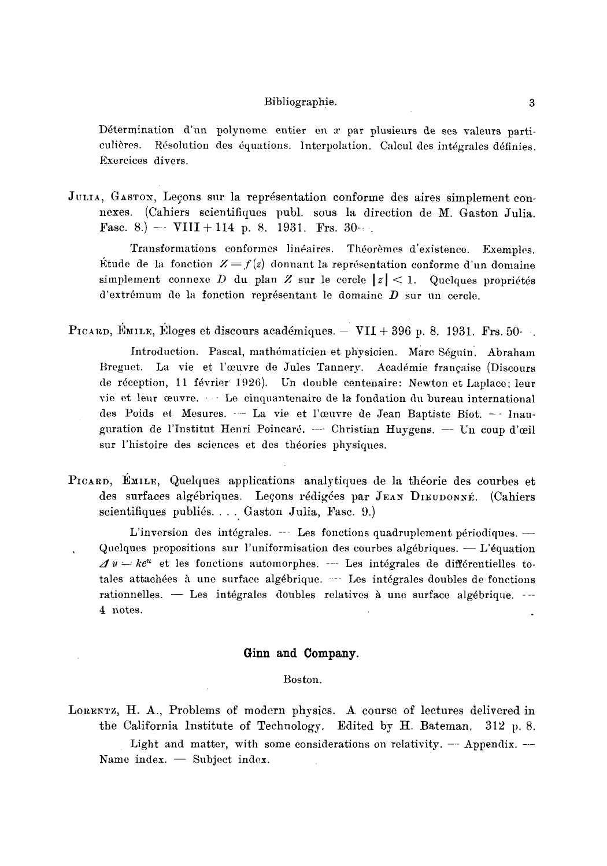Détermination d'un polynome entier en  $x$  par plusieurs de ses valeurs particulières. Résolution des équations. Interpolation. Calcul des intégrales définies. Excrcices divers.

JULIA, GASTON, Leçons sur la représentation conforme des aires simplement connexes. (Cahiers scientifiques publ. sous la direction de M. Gaston Julia. Fasc. 8.) -- VIII + 114 p. 8. 1931. Frs. 30-:

Transformations conformes linéaires. Théorèmes d'existence. Exemples. Étude de la fonction  $Z = f(z)$  donnant la représentation conforme d'un domaine simplement connexe D du plan Z sur le cercle  $|z| < 1$ . Quelques propriétés d'extrémum de la fonction représentant le domaine  $D$  sur un cercle.

PICARD, EMILE, Eloges et discours académiques.  $-$  VII + 396 p. 8. 1931. Frs. 50-

Introduction. Pascal, mathématicien et physicien. Marc Séguin. Abraham Breguet. La vie et l'œuvre de Jules Tannery. Académie française (Discours de réception, 11 février 1926). Un double centenaire: Newton et Laplace; leur vie et leur œuvre.  $\cdots$  Le cinquantenaire de la fondation du bureau international des Poids et Mesures. -- La vie et l'œuvre de Jean Baptiste Biot. -- Inauguration de l'Institut Henri Poincaré. --- Christian Huygens. -- Un coup d'œil sur l'histoire des sciences et des theories physiques.

PICARD, EMILE, Quelques applications analytiques de la théorie des courbes et des surfaces algébriques. Leçons rédigées par JEAN DIEUDONNÉ. (Cahiers scientifiques publiés.... Gaston Julia, Fasc. 9.)

L'inversion des intégrales.  $-$ -Les fonctions quadruplement périodiques.  $-$ Quelques propositions sur l'uniformisation des courbes algébriques.  $- L'$ équation  $\mathcal{A} u - k e^u$  et les fonctions automorphes.  $-$  Les intégrales de différentielles totales attachées à une surface algébrique. --- Les intégrales doubles de fonctions  $rationalles. - Les intégrales doubles relatives à une surface algébrique. --$ 4 notes.

# **Ginn and Company.**

# Boston.

LORENTZ, H. A., Problems of modern physics. A course of lectures delivered in the California Institute of Technology. Edited by H. Bateman, 312 p. 8. Light and matter, with some considerations on relativity.  $-$  Appendix.  $-$ Name index.  $-$  Subject index.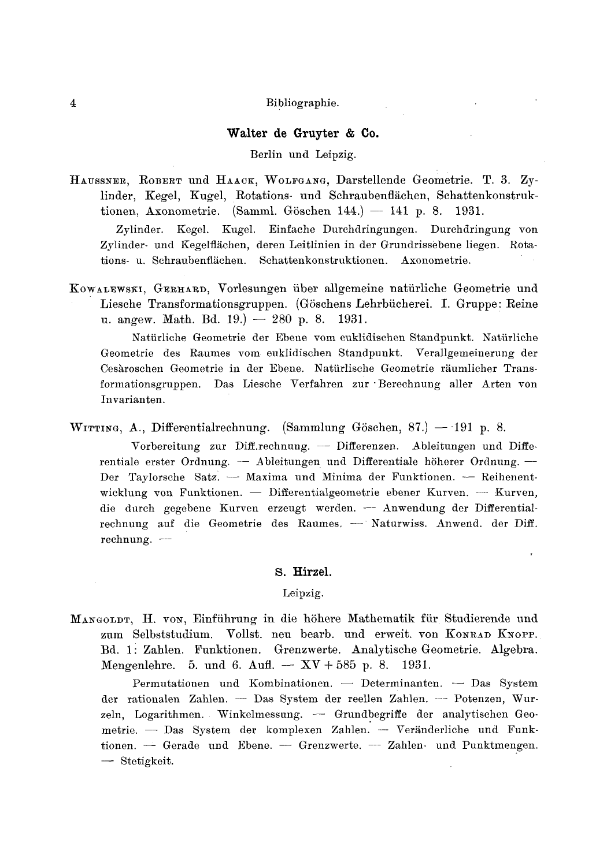# **Walter de Gruyter & Co.**

# Berlin und Leipzig.

HAUSSNER, ROBERT und HAACK, WOLFGANG, Darstellende Geometrie. T. 3. Zylinder, Kegel, Kugel, Rotations- und Schraubenflächen, Schattenkonstruktionen, Axonometrie. (Samml. Göschen 144.) -- 141 p. 8. 1931.

Zylinder. Kegel. Kugel. Einfache Durchdringungen. Durchdringung yon Zylinder- und Kegelflächen, deren Leitlinien in der Grundrissebene liegen. Rotations- u. Schraubenflächen. Schattenkonstruktionen. Axonometrie.

KOWALEWSKI, GERHARD, Vorlesungen über allgemeine natürliche Geometrie und Liesche Transformationsgruppen. (Göschens Lehrbücherei. I. Gruppe: Reine u. angew. Math. Bd. 19.)  $-280$  p. 8. 1931.

Natiirliche Geometrie tier Ebene vom euklidisehen Standpunkt. Natiirliche @eometrie des Raumes vom euklidischen Standpunkt. Verallgemeinerung der Cesàroschen Geometrie in der Ebene. Natürlische Geometrie räumlicher Transformationsgruppen. Das Liesche Verfahren zur "Berechnung aller Arten yon Invarianten.

WITTING, A., Differentialrechnung. (Sammlung Göschen, 87.) -- 191 p. 8.

Vorbereitung zur Diff.rechnung. - Differenzen. Ableitungen und Differentiale erster Ordnung. - Ableitungen und Differentiale höherer Ordnung. -Der Taylorsche Satz. -- Maxima und Minima der Funktionen. -- Reihenentwicklung von Funktionen.  $-$  Differentialgeometrie ebener Kurven.  $-$  Kurven, die durch gegebene Kurven erzeugt werden. - Anwendung der Differentialrechnung auf die Geometrie des Raumes. - Naturwiss. Anwend. der Diff. rechnung. -

#### **S. Hirzel.**

Leipzig.

MANGOLDT, H. VON, Einführung in die höhere Mathematik für Studierende und zum Selbststudium. Vollst. neu bearb. und erweit. von Konrad Knopp. Bd. l i Zahlen. Funktionen. Grenzwerte. Analytische Geometrie. Algebra. Mengenlehre. 5. und 6. Aufl. --  $XV + 585$  p. 8. 1931.

Permutationen und Kombinationen. - Determinanten. - Das System der rationalen Zahlen. -- Das System der reellen Zahlen. -- Potenzen, Wurzeln, Logarithmen. Winkelmessung. - Grundbegriffe der analytischen Geometrie. - Das System der komplexen Zahlen. -- Veränderliche und Funktionen.  $\overline{-}$  Gerade und Ebene.  $\overline{-}$  Grenzwerte.  $\overline{-}$  Zahlen- und Punktmengen. -- Stetigkeit.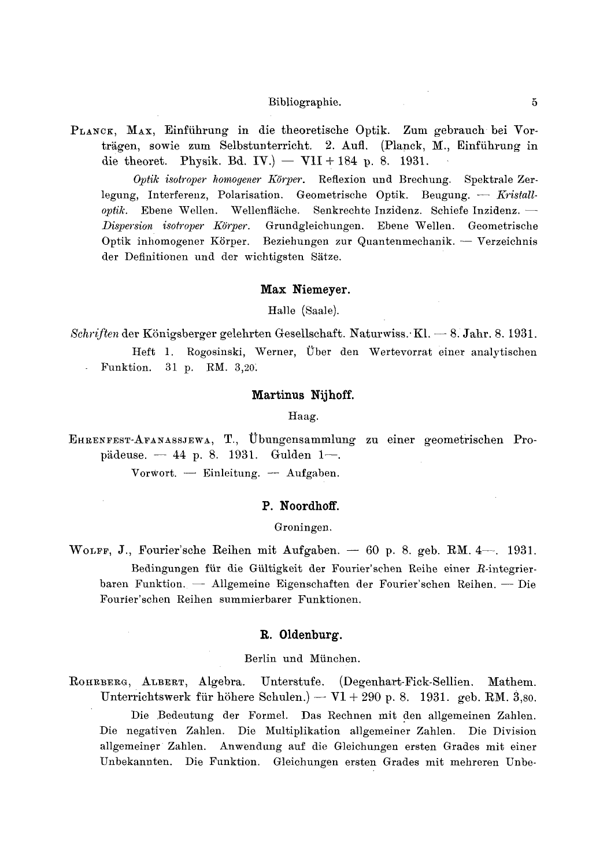PLANCK, MAX, Einführung in die theoretische Optik. Zum gebrauch bei Vorträgen, sowie zum Selbstunterricht. 2. Aufl. (Planck, M., Einführung in die theoret. Physik. Bd. IV.) — VII + 184 p. 8. 1931.

Optik isotroper homogener Körper. Reflexion und Brechung. Spektrale Zerlegung, Interferenz, Polarisation. Geometrische Optik. Beugung. - Kristalloptik. Ebene Wellen. Wellenfläche. Senkrechte Inzidenz. Schiefe Inzidenz. -Dispersion isotroper Körper. Grundgleichungen. Ebene Wellen. Geometrische Optik inhomogener Körper. Beziehungen zur Quantenmechanik. - Verzeichnis der Definitionen und der wichtigsten Sätze.

#### Max Niemeyer.

Halle (Saale).

Schriften der Königsberger gelehrten Gesellschaft. Naturwiss. Kl.  $-8$ . Jahr. 8. 1931. Heft 1. Rogosinski, Werner, Über den Wertevorrat einer analytischen Funktion. 31 p. RM. 3,20.

#### Martinus Nijhoff.

Haag.

EHRENFEST-AFANASSJEWA, T., Übungensammlung zu einer geometrischen Propädeuse. - 44 p. 8. 1931. Gulden 1-. Vorwort. - Einleitung. - Aufgaben.

# P. Noordhoff.

Groningen.

WOLFF, J., Fourier'sche Reihen mit Aufgaben. - 60 p. 8. geb. RM.  $4-1931$ . Bedingungen für die Gültigkeit der Fourier'schen Reihe einer R-integrierbaren Funktion. — Allgemeine Eigenschaften der Fourier'schen Reihen. — Die Fourier'schen Reihen summierbarer Funktionen.

# R. Oldenburg.

#### Berlin und München.

ROHRBERG, ALBERT, Algebra. Unterstufe. (Degenhart-Fick-Sellien. Mathem. Unterrichtswerk für höhere Schulen.) —  $VI + 290$  p. 8. 1931. geb. RM. 3,80. Die Bedeutung der Formel. Das Rechnen mit den allgemeinen Zahlen. Die negativen Zahlen. Die Multiplikation allgemeiner Zahlen. Die Division allgemeiner Zahlen. Anwendung auf die Gleichungen ersten Grades mit einer Unbekannten. Die Funktion. Gleichungen ersten Grades mit mehreren Unbe-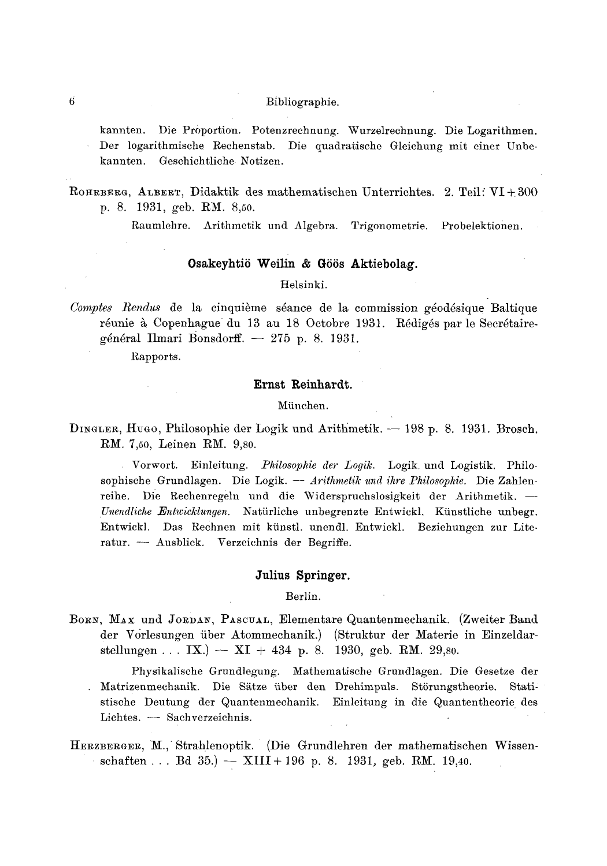kannten. Die Proportion. Potenzrechnung. Wurzelrechnung. Die Logarithmen. Der logarithmische Rechenstab. Die quadratische Gleichung mit einer Unbe-Geschichtliche Notizen. kannten.

Raumlehre. Arithmetik und Algebra. Trigonometrie. Probelektionen.

# Osakeyhtiö Weilin & Göös Aktiebolag.

# Helsinki.

Comptes Rendus de la cinquième séance de la commission géodésique Baltique réunie à Copenhague du 13 au 18 Octobre 1931. Rédigés par le Secrétairegénéral Ilmari Bonsdorff.  $-275$  p. 8. 1931.

Rapports.

## Ernst Reinhardt.

# München.

DINGLER, HUGO, Philosophie der Logik und Arithmetik. — 198 p. 8. 1931. Brosch. RM. 7,50, Leinen RM. 9,80.

Vorwort. Einleitung. Philosophie der Logik. Logik und Logistik. Philosophische Grundlagen. Die Logik. -- Arithmetik und ihre Philosophie. Die Zahlenreihe. Die Rechenregeln und die Widerspruchslosigkeit der Arithmetik. -Unendliche Entwicklungen. Natürliche unbegrenzte Entwickl. Künstliche unbegr. Entwickl. Das Rechnen mit künstl. unendl. Entwickl. Beziehungen zur Literatur. - Ausblick. Verzeichnis der Begriffe.

## Julius Springer.

Berlin.

BORN, MAX und JORDAN, PASCUAL, Elementare Quantenmechanik. (Zweiter Band der Vorlesungen über Atommechanik.) (Struktur der Materie in Einzeldarstellungen . . . IX.) - XI + 434 p. 8. 1930, geb. RM. 29,80.

Physikalische Grundlegung. Mathematische Grundlagen. Die Gesetze der . Matrizenmechanik. Die Sätze über den Drehimpuls. Störungstheorie. Statistische Deutung der Quantenmechanik. Einleitung in die Quantentheorie des Lichtes. - Sachverzeichnis.

HERZBERGER, M., Strahlenoptik. (Die Grundlehren der mathematischen Wissenschaften . . . Bd 35.) -  $XIII + 196$  p. 8. 1931, geb. RM. 19,40.

ROHRBERG, ALBERT, Didaktik des mathematischen Unterrichtes. 2. Teil: VI+300 p. 8. 1931, geb. RM. 8,50.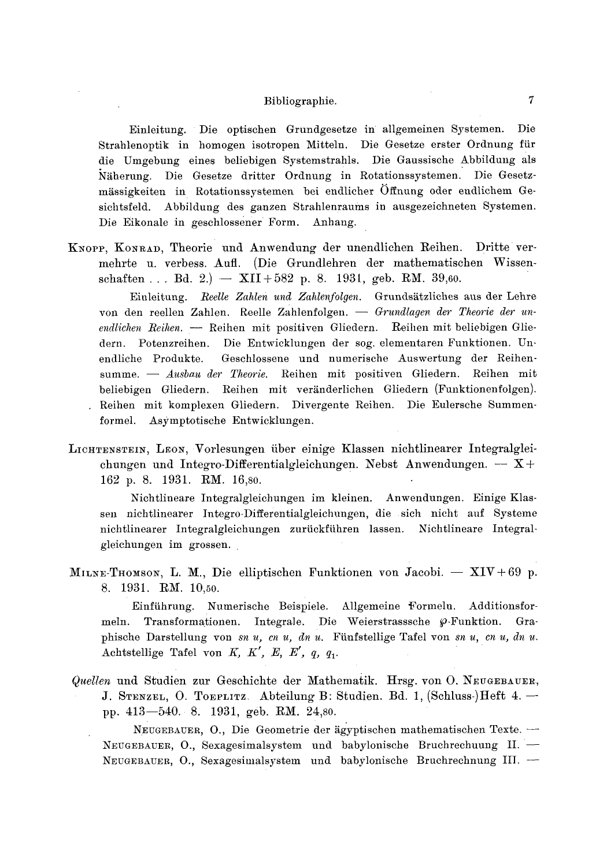Einleitung. Die optischen Grundgesetze in allgemeinen Systemen. Die Strahlenoptik in homogen isotropen Mitteln. Die Gesetze erster Ordnung fiir die Umgebung eines beliebigen Systemstrahls. Die Gaussische Abbildung als Näherung. Die Gesetze dritter Ordnung in Rotationssystemen. Die Gesetzmässigkeiten in Rotationssystemen bei endlicher Öffnung oder endlichem Gesichtsfeld. Abbildung des ganzen Strahlenraums in ausgezeichneten Systemen. Die Eikonale in geschlossener Form. Anhang.

KNOPP, KONRAD, Theorie und Anwendung der unendlichen Reihen. Dritte vermehrte u. verbess. Aufl. (Die Grundlehren der mathematischen Wissenschaften... Bd. 2.) -  $XII+582$  p. 8. 1931, geb. RM. 39,60.

Einleitung. *Reelle Zahlen und Zahlenfolgen*. Grundsätzliches aus der Lehre von den reellen Zahlen. Reelle Zahlenfolgen. - *Grundlagen der Theorie der un*endlichen Reihen. -- Reihen mit positiven Gliedern. Reihen mit beliebigen Gliedern. Potenzreihen. Die Entwicklungen der sog. elementaren Funktionen. Unendliche Produkte. Geschlossene und numerische Auswertung der Reihensumme. - *Ausbau der Theorie.* Reihen mit positiven Gliedern. Reihen mit beliebigen Gliedern. Reihen mit veränderlichen Gliedern (Funktionenfolgen). Reihen mit komplexen Gliedern. Divergente Reihen. Die Eulersche Summenformel. Asymptotische Entwicklungen.

LICHTENSTEIN, LEON, Vorlesungen über einige Klassen nichtlinearer Integralgleichungen und Integro-Differentialgleichungen. Nebst Anwendungen.  $- X +$ 162 p. 8. 1931. RM. 16,80.

Nichtlineare Integralgleichungen im kleinen. Anwendungen. Einige Klassen nichtlinearer Integro-Differentialgleichungen, die sich nicht auf Systeme nichtlinearer Integralgleichungen zuriickfiihren lassen. Nichtlineare Integralgleichungen im grossen.

MILNE-THOMSON, L. M., Die elliptischen Funktionen von Jacobi. -- XIV+69 p. 8. 1931. RM. 10,50.

Einführung. Numerische Beispiele. Allgemeine Formelu. Additionsformeln. Transformationen. Integrale. Die Weierstrasssche  $\varphi$ -Funktion. Graphische Darstellung von *sn u, cn u, dn u.* Fünfstellige Tafel von *sn u, cn u, dn u.* Achtstellige Tafel von  $K$ ,  $K'$ ,  $E$ ,  $E'$ ,  $q$ ,  $q_1$ .

*Quellen* und Studien zur Geschichte der Mathematik. Hrsg. von O. NEUGEBAUER, J. STENZEL, O. TOEPLITZ. Abteilung B: Studien. Bd. 1, (Schluss-)Heft 4.  $$ pp. 413--540. 8. 1931, geb. RM. 24,s0.

 $NEUGEBAUER$ , O., Die Geometrie der ägyptischen mathematischen Texte. --•EUGEBAUER, O., Sexagesimalsystem und babylonische Bruchrechuung II.- NEUGEBAUER, O., Sexagesimalsystem und baby]onische Bruchrechnung III. --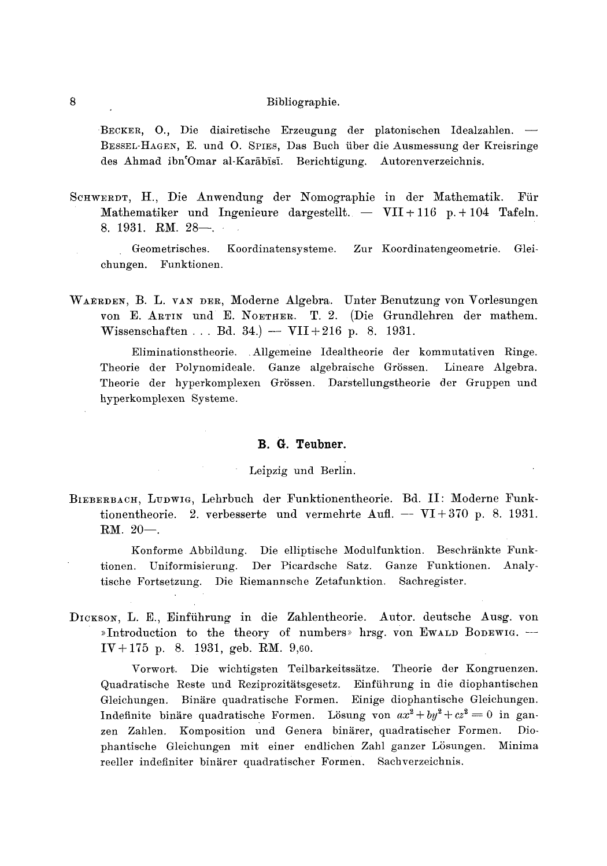BECKER, O., Die diairetische Erzeugung der platonischen Idealzahlen. — BESSEL-HAGEN, E. und O. SPIES, Das Buch über die Ausmessung der Kreisringe des Ahmad ibn Omar al-Karābīsī. Berichtigung. Autorenverzeichnis.

SCHWERDT, H., Die Anwendung der Nomographie in der Mathematik. Für Mathematiker und Ingenieure dargestellt. -  $VII + 116$  p. + 104 Tafeln. 8. 1931. RM,  $28$ —.

Koordinatensysteme. Zur Koordinatengeometrie. Geometrisches. Gleichungen. Funktionen.

WAERDEN, B. L. VAN DER, Moderne Algebra. Unter Benutzung von Vorlesungen von E. ARTIN und E. NOETHER. T. 2. (Die Grundlehren der mathem. Wissenschaften ... Bd. 34.) -  $VII + 216$  p. 8. 1931.

Eliminationstheorie. Allgemeine Idealtheorie der kommutativen Ringe. Theorie der Polynomideale. Ganze algebraische Grössen. Lineare Algebra. Theorie der hyperkomplexen Grössen. Darstellungstheorie der Gruppen und hyperkomplexen Systeme.

# B. G. Teubner.

# Leipzig und Berlin.

BIEBERBACH, LUDWIG, Lehrbuch der Funktionentheorie. Bd. II: Moderne Funktionentheorie. 2. verbesserte und vermehrte Aufl. -- VI+370 p. 8. 1931.  $RM. 20-.$ 

Konforme Abbildung. Die elliptische Modulfunktion. Beschränkte Funktionen. Uniformisierung. Der Picardsche Satz. Ganze Funktionen. Analytische Fortsetzung. Die Riemannsche Zetafunktion. Sachregister.

DICKSON, L. E., Einführung in die Zahlentheorie. Autor. deutsche Ausg. von »Introduction to the theory of numbers» hrsg. von Ewann Bonewig. - $IV + 175$  p. 8. 1931, geb. RM. 9,60.

Vorwort. Die wichtigsten Teilbarkeitssätze. Theorie der Kongruenzen. Quadratische Reste und Reziprozitätsgesetz. Einführung in die diophantischen Gleichungen. Binäre quadratische Formen. Einige diophantische Gleichungen. Indefinite binäre quadratische Formen. Lösung von  $ax^2 + by^2 + cz^2 = 0$  in ganzen Zahlen. Komposition und Genera binärer, quadratischer Formen. Diophantische Gleichungen mit einer endlichen Zahl ganzer Lösungen. Minima reeller indefiniter binärer quadratischer Formen. Sachverzeichnis.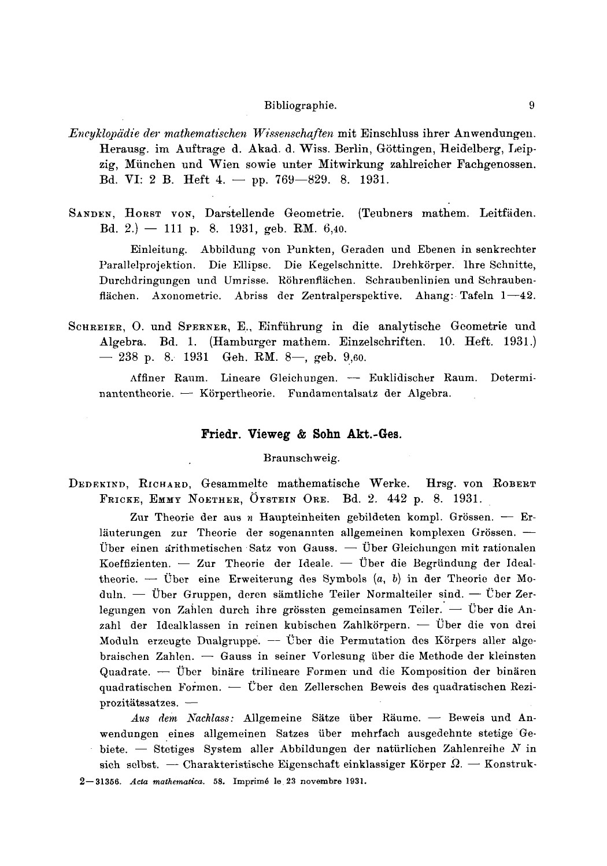- Encyklopädie der mathematischen Wissenschaften mit Einschluss ihrer Anwendungen. Herausg. im Auftrage d. Akad. d. Wiss. Berlin, Göttingen, Heidelberg, Leipzig, München und Wien sowie unter Mitwirkung zahlreicher Fachgenossen. Bd. VI: 2 B. Heft 4. - pp. 769-829. 8. 1931.
- SANDEN, HORST VON, Darstellende Geometrie. (Teubners mathem. Leitfäden. Bd. 2.) - 111 p. 8. 1931, geb. RM. 6,40.

Einleitung. Abbildung von Punkten, Geraden und Ebenen in senkrechter Parallelprojektion. Die Ellipse. Die Kegelschnitte. Drehkörper. Ihre Schnitte, Durchdringungen und Umrisse. Röhrenflächen. Schraubenlinien und Schraubenflächen. Axonometrie. Abriss der Zentralperspektive. Ahang: Tafeln 1—42.

SCHREIER, O. und SPERNER, E., Einführung in die analytische Geometrie und Algebra. Bd. 1. (Hamburger mathem. Einzelschriften. 10. Heft. 1931.)  $-238$  p. 8. 1931 Geh. RM. 8-, geb. 9,60.

Affiner Raum. Lineare Gleichungen. - Euklidischer Raum. Determinantentheorie. - Körpertheorie. Fundamentalsatz der Algebra.

#### Friedr. Vieweg & Sohn Akt.-Ges.

Braunschweig.

DEDEKIND, RICHARD, Gesammelte mathematische Werke. Hrsg. von ROBERT FRICKE, EMMY NOETHER, ÖYSTEIN ORE. Bd. 2. 442 p. 8. 1931.

Zur Theorie der aus  $n$  Haupteinheiten gebildeten kompl. Grössen. - Erläuterungen zur Theorie der sogenannten allgemeinen komplexen Grössen. -Über einen arithmetischen Satz von Gauss. - Über Gleichungen mit rationalen Koeffizienten. - Zur Theorie der Ideale. - Über die Begründung der Idealtheorie. - Über eine Erweiterung des Symbols  $(a, b)$  in der Theorie der Moduln. — Über Gruppen, deren sämtliche Teiler Normalteiler sind. — Über Zerlegungen von Zahlen durch ihre grössten gemeinsamen Teiler.  $\overline{\phantom{a}}$  Über die Anzahl der Idealklassen in reinen kubischen Zahlkörpern. — Über die von drei Moduln erzeugte Dualgruppe. - Über die Permutation des Körpers aller algebraischen Zahlen.  $\overline{\phantom{a}}$  Gauss in seiner Vorlesung über die Methode der kleinsten Quadrate. - Über binäre trilineare Formen und die Komposition der binären quadratischen Formen. — Über den Zellerschen Beweis des quadratischen Reziprozitätssatzes. -

Aus dem Nachlass: Allgemeine Sätze über Räume. - Beweis und Anwendungen eines allgemeinen Satzes über mehrfach ausgedehnte stetige Gebiete.  $-$  Stetiges System aller Abbildungen der natürlichen Zahlenreihe N in sich selbst. — Charakteristische Eigenschaft einklassiger Körper  $\Omega$ . — Konstruk-

<sup>2-31356.</sup> Acta mathematica. 58. Imprimé le 23 novembre 1931.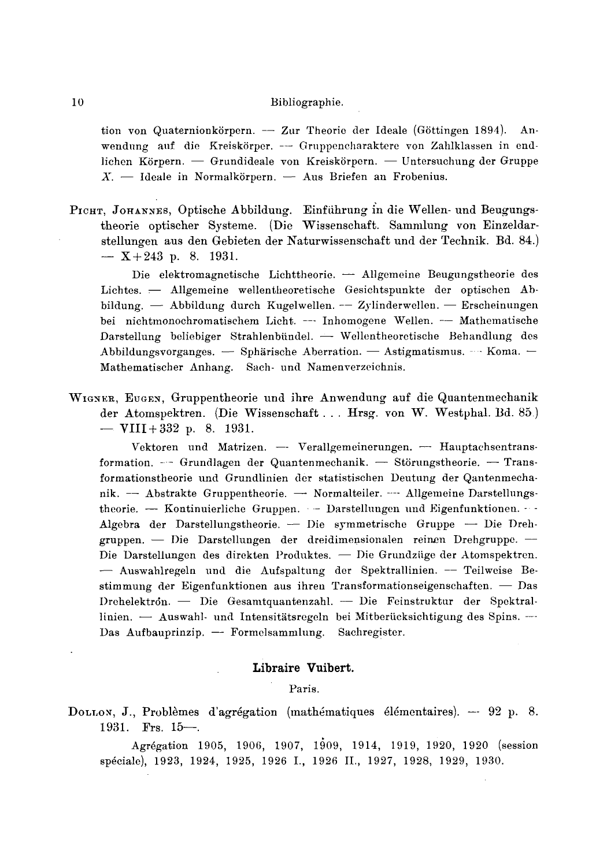tion von Quaternionkörpern. - Zur Theorie der Ideale (Göttingen 1894). Anwendung auf die Kreiskörper. --- Gruppencharaktere von Zahlklassen in endlichen Körpern. — Grundideale von Kreiskörpern. — Untersuchung der Gruppe  $X_{n}$  - Ideale in Normalkörpern. - Aus Briefen an Frobenius.

PICHT, JOHANNES, Optische Abbildung. Einführung in die Wellen- und Beugungstheorie optischer Systeme. (Die Wissenschaft. Sammlung von Einzeldarstellungen aus den Gebieten der Naturwissenschaft und der Technik. Bd. 84.)  $-$  X+243 p. 8. 1931.

Die elektromagnetische Lichttheorie. - Allgemeine Beugungstheorie des Lichtes. - Allgemeine wellentheoretische Gesichtspunkte der optischen Abbildung. — Abbildung durch Kugelwellen. -- Zylinderwellen. - Erscheinungen bei nichtmonochromatischem Licht. --- Inhomogene Wellen. -- Mathematische Darstellung beliebiger Strahlenbündel. - Wellentheoretische Behandlung des Abbildungsvorganges. - Sphärische Aberration. - Astigmatismus. - Koma. -Mathematischer Anhang. Sach- und Namenverzeichnis.

WIGNER, EUGEN, Gruppentheorie und ihre Anwendung auf die Quantenmechanik der Atomspektren. (Die Wissenschaft... Hrsg. von W. Westphal. Bd. 85.) - VIII + 332 p. 8. 1931.

Vektoren und Matrizen. - Verallgemeinerungen. - Hauptachsentransformation. - Grundlagen der Quantenmechanik. - Störungstheorie. - Transformationstheorie und Grundlinien der statistischen Deutung der Qantenmechanik. - Abstrakte Gruppentheorie. - Normalteiler. - Allgemeine Darstellungstheorie. - Kontinuierliche Gruppen. - Darstellungen und Eigenfunktionen. - -Algebra der Darstellungstheorie. - Die symmetrische Gruppe - Die Drehgruppen. — Die Darstellungen der dreidimensionalen reinen Drehgruppe. — Die Darstellungen des direkten Produktes. - Die Grundzüge der Atomspektren. - Auswahlregeln und die Aufspaltung der Spektrallinien. -- Teilweise Bestimmung der Eigenfunktionen aus ihren Transformationseigenschaften. - Das Drehelektron. — Die Gesamtquantenzahl. — Die Feinstruktur der Spektrallinien. - Auswahl- und Intensitätsregeln bei Mitberücksichtigung des Spins. -Das Aufbauprinzip. - Formelsammlung. Sachregister.

# Libraire Vuibert.

## Paris.

DOLLON, J., Problèmes d'agrégation (mathématiques élémentaires). -- 92 p. 8. 1931. Frs.  $15-$ .

Agrégation 1905, 1906, 1907, 1909, 1914, 1919, 1920, 1920 (session spéciale), 1923, 1924, 1925, 1926 I., 1926 II., 1927, 1928, 1929, 1930.